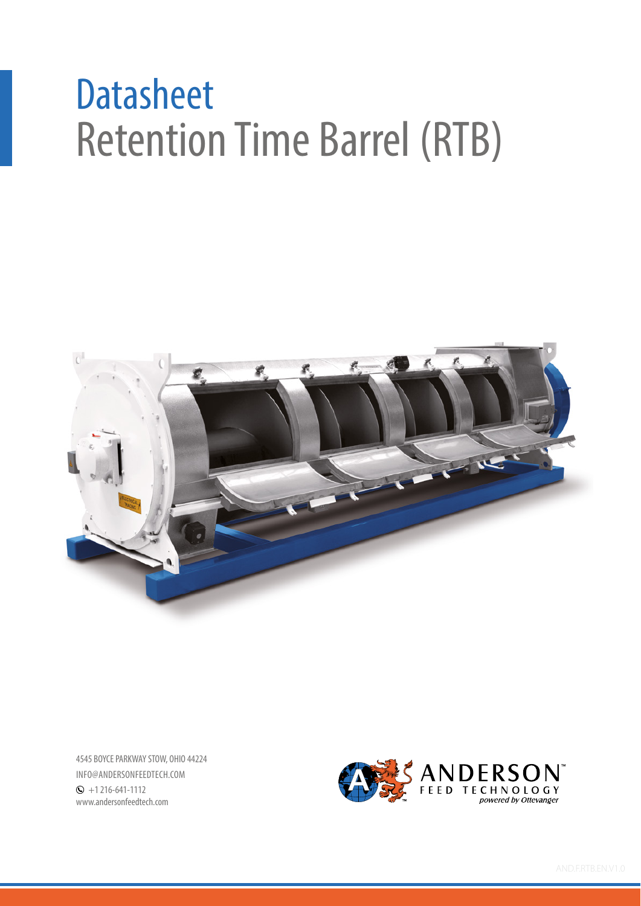## Retention Time Barrel (RTB) **Datasheet**



4545 BOYCE PARKWAY STOW, OHIO 44224 INFO@ANDERSONFEEDTECH.COM  $\odot$  +1 216-641-1112 www.andersonfeedtech.com